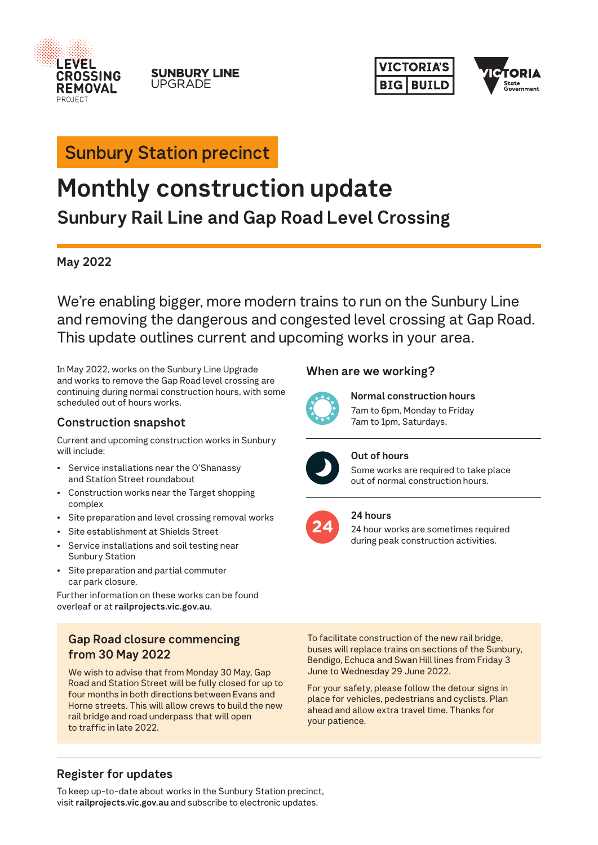

#### **SUNBURY LINE UPGRADE**





# **Sunbury Station precinct**

# **Monthly construction update Sunbury Rail Line and Gap Road Level Crossing**

# **May 2022**

We're enabling bigger, more modern trains to run on the Sunbury Line and removing the dangerous and congested level crossing at Gap Road. This update outlines current and upcoming works in your area.

In May 2022, works on the Sunbury Line Upgrade and works to remove the Gap Road level crossing are continuing during normal construction hours, with some scheduled out of hours works.

# **Construction snapshot**

Current and upcoming construction works in Sunbury will include:

- Service installations near the O'Shanassy and Station Street roundabout
- Construction works near the Target shopping complex
- Site preparation and level crossing removal works
- Site establishment at Shields Street
- Service installations and soil testing near Sunbury Station
- Site preparation and partial commuter car park closure.

Further information on these works can be found overleaf or at **railprojects.vic.gov.au**.

# **Gap Road closure commencing from 30 May 2022**

We wish to advise that from Monday 30 May, Gap Road and Station Street will be fully closed for up to four months in both directions between Evans and Horne streets. This will allow crews to build the new rail bridge and road underpass that will open to traffic in late 2022.

# **When are we working?**



**Normal construction hours** 7am to 6pm, Monday to Friday 7am to 1pm, Saturdays.



#### **Out of hours**

Some works are required to take place out of normal construction hours.

# **24 hours**

24 hour works are sometimes required during peak construction activities.

To facilitate construction of the new rail bridge, buses will replace trains on sections of the Sunbury, Bendigo, Echuca and Swan Hill lines from Friday 3 June to Wednesday 29 June 2022.

For your safety, please follow the detour signs in place for vehicles, pedestrians and cyclists. Plan ahead and allow extra travel time. Thanks for your patience.

# **Register for updates**

To keep up-to-date about works in the Sunbury Station precinct, visit **railprojects.vic.gov.au** and subscribe to electronic updates.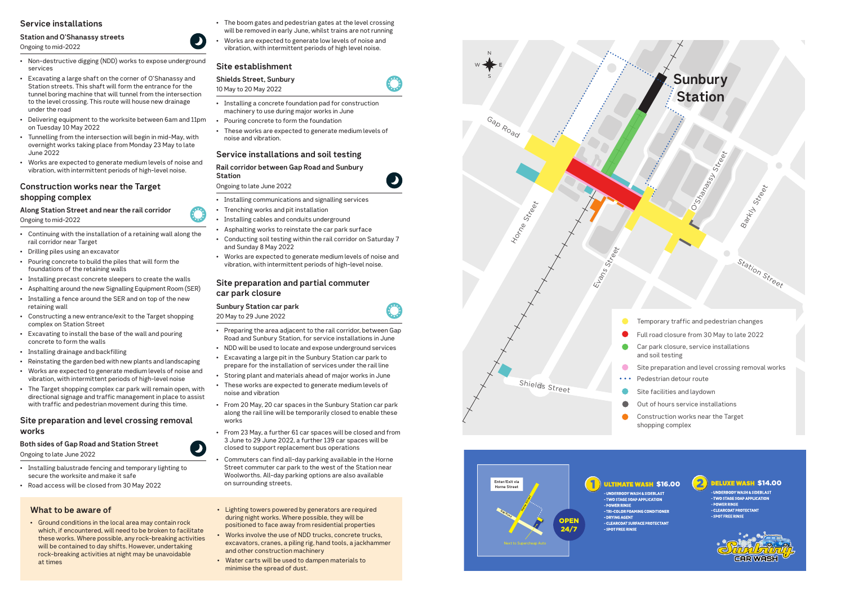# **Service installations**

# **Station and O'Shanassy streets**

#### Ongoing to mid-2022

- Non-destructive digging (NDD) works to expose underground services
- Excavating a large shaft on the corner of O'Shanassy and Station streets. This shaft will form the entrance for the tunnel boring machine that will tunnel from the intersection to the level crossing. This route will house new drainage under the road
- Delivering equipment to the worksite between 6am and 11pm on Tuesday 10 May 2022
- Tunnelling from the intersection will begin in mid-May, with overnight works taking place from Monday 23 May to late June 2022
- Works are expected to generate medium levels of noise and vibration, with intermittent periods of high-level noise.

# **Construction works near the Target shopping complex**

**Along Station Street and near the rail corridor**  Ongoing to mid-2022

- Continuing with the installation of a retaining wall along the rail corridor near Target
- Drilling piles using an excavator
- Pouring concrete to build the piles that will form the foundations of the retaining walls
- Installing precast concrete sleepers to create the walls
- Asphalting around the new Signalling Equipment Room (SER)
- Installing a fence around the SER and on top of the new retaining wall
- Constructing a new entrance/exit to the Target shopping complex on Station Street
- Excavating to install the base of the wall and pouring concrete to form the walls
- Installing drainage and backfilling
- Reinstating the garden bed with new plants and landscaping
- Works are expected to generate medium levels of noise and vibration, with intermittent periods of high-level noise
- The Target shopping complex car park will remain open, with directional signage and traffic management in place to assist with traffic and pedestrian movement during this time.

#### **Site preparation and level crossing removal works**

#### **Both sides of Gap Road and Station Street**

Ongoing to late June 2022

- Installing balustrade fencing and temporary lighting to secure the worksite and make it safe
- Road access will be closed from 30 May 2022
- The boom gates and pedestrian gates at the level crossing will be removed in early June, whilst trains are not running
- Works are expected to generate low levels of noise and vibration, with intermittent periods of high level noise.

#### **Site establishment**

# **Shields Street, Sunbury**

#### 10 May to 20 May 2022

- Installing a concrete foundation pad for construction machinery to use during major works in June
- Pouring concrete to form the foundation
- These works are expected to generate medium levels of noise and vibration.

# **Service installations and soil testing**

#### **Rail corridor between Gap Road and Sunbury Station**

#### Ongoing to late June 2022

- Installing communications and signalling services
- Trenching works and pit installation
- Installing cables and conduits underground
- Asphalting works to reinstate the car park surface
- Conducting soil testing within the rail corridor on Saturday 7 and Sunday 8 May 2022
- Works are expected to generate medium levels of noise and vibration, with intermittent periods of high-level noise.

#### **Site preparation and partial commuter car park closure**

#### **Sunbury Station car park**

20 May to 29 June 2022



- Preparing the area adjacent to the rail corridor, between Gap Road and Sunbury Station, for service installations in June
- NDD will be used to locate and expose underground services
- Excavating a large pit in the Sunbury Station car park to prepare for the installation of services under the rail line
- Storing plant and materials ahead of major works in June
- These works are expected to generate medium levels of noise and vibration
- From 20 May, 20 car spaces in the Sunbury Station car park along the rail line will be temporarily closed to enable these works
- From 23 May, a further 61 car spaces will be closed and from 3 June to 29 June 2022, a further 139 car spaces will be closed to support replacement bus operations
- Commuters can find all-day parking available in the Horne Street commuter car park to the west of the Station near Woolworths. All-day parking options are also available on surrounding streets.
- Lighting towers powered by generators are required during night works. Where possible, they will be positioned to face away from residential properties
- Works involve the use of NDD trucks, concrete trucks, excavators, cranes, a piling rig, hand tools, a jackhammer and other construction machinery
- Water carts will be used to dampen materials to minimise the spread of dust.

# **What to be aware of**

• Ground conditions in the local area may contain rock which, if encountered, will need to be broken to facilitate these works. Where possible, any rock-breaking activities will be contained to day shifts. However, undertaking rock-breaking activities at night may be unavoidable at times







- 
- 
- 
- 
- 
- 
- 
-